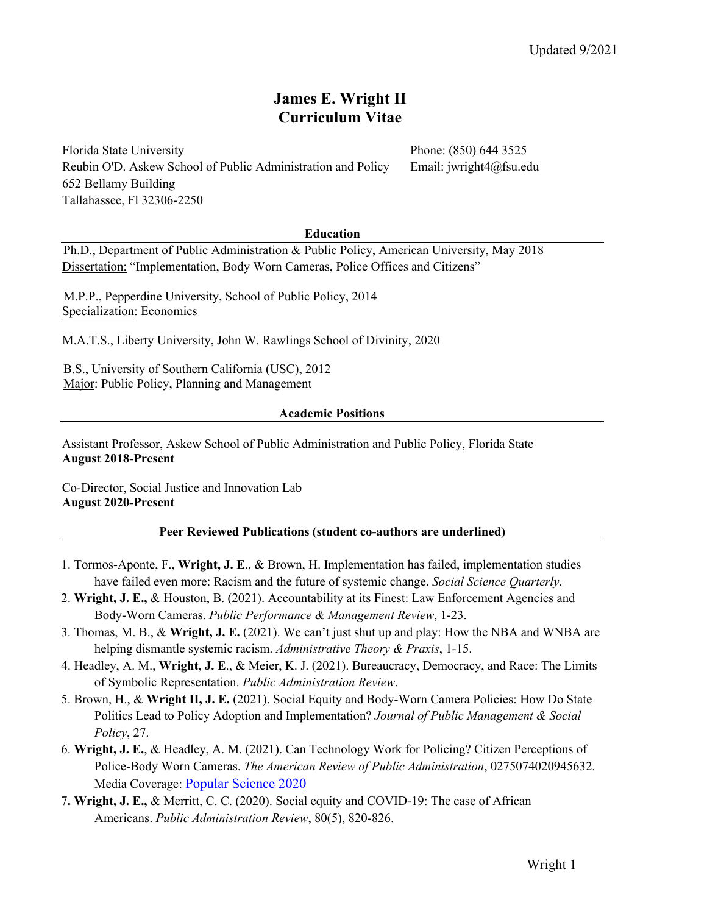# **James E. Wright II Curriculum Vitae**

Florida State University **Phone: (850) 644 3525** Reubin O'D. Askew School of Public Administration and Policy Email: jwright4@fsu.edu 652 Bellamy Building Tallahassee, Fl 32306-2250

## **Education**

 Ph.D., Department of Public Administration & Public Policy, American University, May 2018 Dissertation: "Implementation, Body Worn Cameras, Police Offices and Citizens"

 M.P.P., Pepperdine University, School of Public Policy, 2014 Specialization: Economics

M.A.T.S., Liberty University, John W. Rawlings School of Divinity, 2020

B.S., University of Southern California (USC), 2012 Major: Public Policy, Planning and Management

### **Academic Positions**

Assistant Professor, Askew School of Public Administration and Public Policy, Florida State **August 2018-Present** 

Co-Director, Social Justice and Innovation Lab **August 2020-Present** 

### **Peer Reviewed Publications (student co-authors are underlined)**

- 1. Tormos‐Aponte, F., **Wright, J. E**., & Brown, H. Implementation has failed, implementation studies have failed even more: Racism and the future of systemic change. *Social Science Quarterly*.
- 2. **Wright, J. E.,** & Houston, B. (2021). Accountability at its Finest: Law Enforcement Agencies and Body-Worn Cameras. *Public Performance & Management Review*, 1-23.
- 3. Thomas, M. B., & **Wright, J. E.** (2021). We can't just shut up and play: How the NBA and WNBA are helping dismantle systemic racism. *Administrative Theory & Praxis*, 1-15.
- 4. Headley, A. M., **Wright, J. E**., & Meier, K. J. (2021). Bureaucracy, Democracy, and Race: The Limits of Symbolic Representation. *Public Administration Review*.
- 5. Brown, H., & **Wright II, J. E.** (2021). Social Equity and Body-Worn Camera Policies: How Do State Politics Lead to Policy Adoption and Implementation? *Journal of Public Management & Social Policy*, 27.
- 6. **Wright, J. E.**, & Headley, A. M. (2021). Can Technology Work for Policing? Citizen Perceptions of Police-Body Worn Cameras. *The American Review of Public Administration*, 0275074020945632. Media Coverage: Popular Science 2020
- 7**. Wright, J. E.,** & Merritt, C. C. (2020). Social equity and COVID‐19: The case of African Americans. *Public Administration Review*, 80(5), 820-826.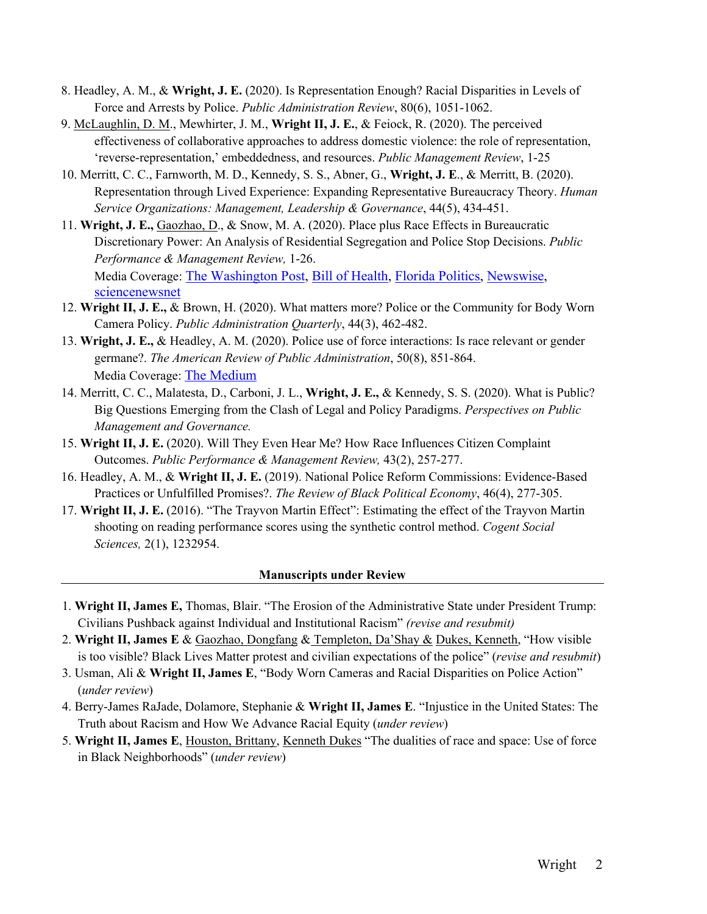- 8. Headley, A. M., & **Wright, J. E.** (2020). Is Representation Enough? Racial Disparities in Levels of Force and Arrests by Police. *Public Administration Review*, 80(6), 1051-1062.
- 9. McLaughlin, D. M., Mewhirter, J. M., **Wright II, J. E.**, & Feiock, R. (2020). The perceived effectiveness of collaborative approaches to address domestic violence: the role of representation, 'reverse-representation,' embeddedness, and resources. *Public Management Review*, 1-25
- 10. Merritt, C. C., Farnworth, M. D., Kennedy, S. S., Abner, G., **Wright, J. E**., & Merritt, B. (2020). Representation through Lived Experience: Expanding Representative Bureaucracy Theory. *Human Service Organizations: Management, Leadership & Governance*, 44(5), 434-451.
- 11. **Wright, J. E.,** Gaozhao, D., & Snow, M. A. (2020). Place plus Race Effects in Bureaucratic Discretionary Power: An Analysis of Residential Segregation and Police Stop Decisions. *Public Performance & Management Review,* 1-26. Media Coverage: The Washington Post, Bill of Health, Florida Politics, Newswise, sciencenewsnet
- 12. **Wright II, J. E.,** & Brown, H. (2020). What matters more? Police or the Community for Body Worn Camera Policy. *Public Administration Quarterly*, 44(3), 462-482.
- 13. **Wright, J. E.,** & Headley, A. M. (2020). Police use of force interactions: Is race relevant or gender germane?. *The American Review of Public Administration*, 50(8), 851-864. Media Coverage: The Medium
- 14. Merritt, C. C., Malatesta, D., Carboni, J. L., **Wright, J. E.,** & Kennedy, S. S. (2020). What is Public? Big Questions Emerging from the Clash of Legal and Policy Paradigms. *Perspectives on Public Management and Governance.*
- 15. **Wright II, J. E.** (2020). Will They Even Hear Me? How Race Influences Citizen Complaint Outcomes. *Public Performance & Management Review,* 43(2), 257-277.
- 16. Headley, A. M., & **Wright II, J. E.** (2019). National Police Reform Commissions: Evidence-Based Practices or Unfulfilled Promises?. *The Review of Black Political Economy*, 46(4), 277-305.
- 17. **Wright II, J. E.** (2016). "The Trayvon Martin Effect": Estimating the effect of the Trayvon Martin shooting on reading performance scores using the synthetic control method. *Cogent Social Sciences,* 2(1), 1232954.

# **Manuscripts under Review**

- 1. **Wright II, James E,** Thomas, Blair. "The Erosion of the Administrative State under President Trump: Civilians Pushback against Individual and Institutional Racism" *(revise and resubmit)*
- 2. **Wright II, James E** & Gaozhao, Dongfang & Templeton, Da'Shay & Dukes, Kenneth, "How visible is too visible? Black Lives Matter protest and civilian expectations of the police" (*revise and resubmit*)
- 3. Usman, Ali & **Wright II, James E**, "Body Worn Cameras and Racial Disparities on Police Action" (*under review*)
- 4. Berry-James RaJade, Dolamore, Stephanie & **Wright II, James E**. "Injustice in the United States: The Truth about Racism and How We Advance Racial Equity (*under review*)
- 5. **Wright II, James E**, Houston, Brittany, Kenneth Dukes "The dualities of race and space: Use of force in Black Neighborhoods" (*under review*)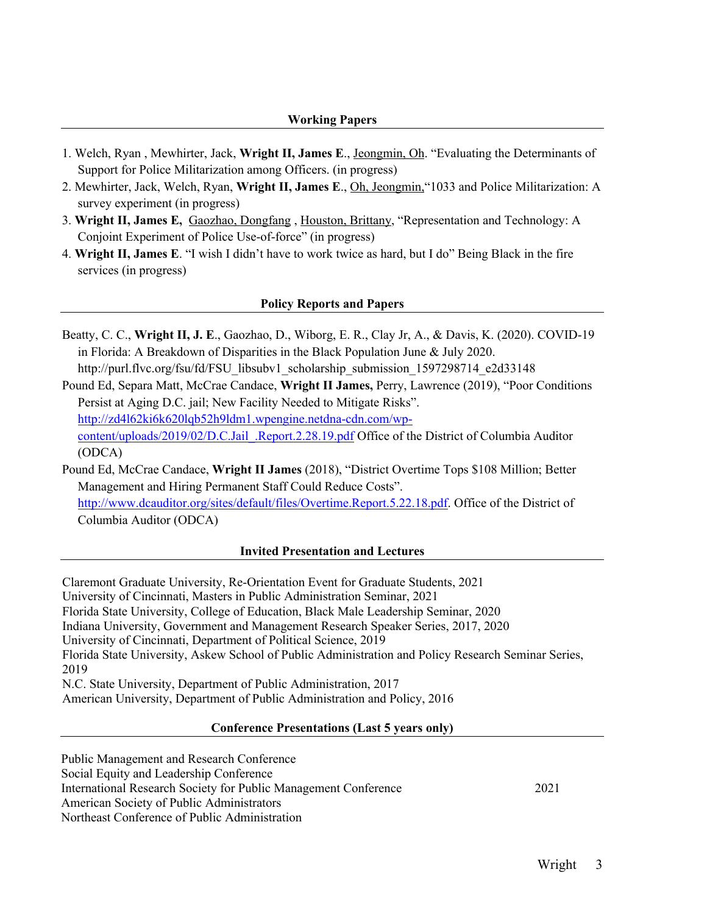## **Working Papers**

- 1. Welch, Ryan , Mewhirter, Jack, **Wright II, James E**., Jeongmin, Oh. "Evaluating the Determinants of Support for Police Militarization among Officers. (in progress)
- 2. Mewhirter, Jack, Welch, Ryan, **Wright II, James E**., Oh, Jeongmin,"1033 and Police Militarization: A survey experiment (in progress)
- 3. **Wright II, James E,** Gaozhao, Dongfang , Houston, Brittany, "Representation and Technology: A Conjoint Experiment of Police Use-of-force" (in progress)
- 4. **Wright II, James E**. "I wish I didn't have to work twice as hard, but I do" Being Black in the fire services (in progress)

# **Policy Reports and Papers**

Beatty, C. C., **Wright II, J. E**., Gaozhao, D., Wiborg, E. R., Clay Jr, A., & Davis, K. (2020). COVID-19 in Florida: A Breakdown of Disparities in the Black Population June & July 2020. http://purl.flvc.org/fsu/fd/FSU\_libsubv1\_scholarship\_submission\_1597298714\_e2d33148

Pound Ed, Separa Matt, McCrae Candace, **Wright II James,** Perry, Lawrence (2019), "Poor Conditions Persist at Aging D.C. jail; New Facility Needed to Mitigate Risks". http://zd4l62ki6k620lqb52h9ldm1.wpengine.netdna-cdn.com/wpcontent/uploads/2019/02/D.C.Jail\_.Report.2.28.19.pdf Office of the District of Columbia Auditor (ODCA)

Pound Ed, McCrae Candace, **Wright II James** (2018), "District Overtime Tops \$108 Million; Better Management and Hiring Permanent Staff Could Reduce Costs". http://www.dcauditor.org/sites/default/files/Overtime.Report.5.22.18.pdf. Office of the District of Columbia Auditor (ODCA)

### **Invited Presentation and Lectures**

Claremont Graduate University, Re-Orientation Event for Graduate Students, 2021 University of Cincinnati, Masters in Public Administration Seminar, 2021 Florida State University, College of Education, Black Male Leadership Seminar, 2020 Indiana University, Government and Management Research Speaker Series, 2017, 2020 University of Cincinnati, Department of Political Science, 2019 Florida State University, Askew School of Public Administration and Policy Research Seminar Series, 2019 N.C. State University, Department of Public Administration, 2017 American University, Department of Public Administration and Policy, 2016

### **Conference Presentations (Last 5 years only)**

Public Management and Research Conference Social Equity and Leadership Conference International Research Society for Public Management Conference 2021 American Society of Public Administrators Northeast Conference of Public Administration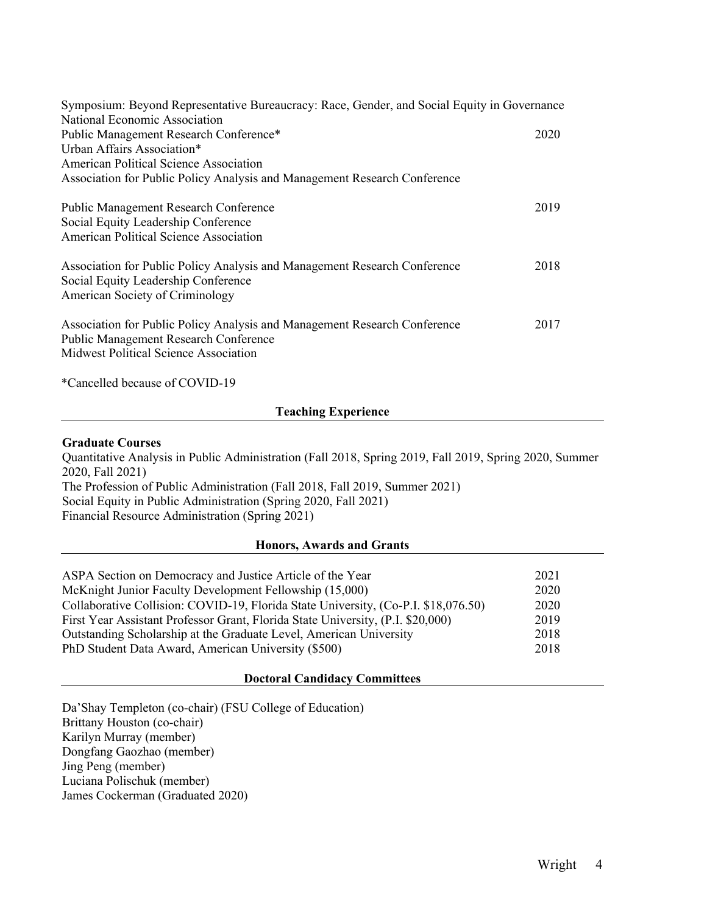| Symposium: Beyond Representative Bureaucracy: Race, Gender, and Social Equity in Governance                                                                 |      |
|-------------------------------------------------------------------------------------------------------------------------------------------------------------|------|
| National Economic Association                                                                                                                               |      |
| Public Management Research Conference*                                                                                                                      | 2020 |
| Urban Affairs Association*                                                                                                                                  |      |
| American Political Science Association                                                                                                                      |      |
| Association for Public Policy Analysis and Management Research Conference                                                                                   |      |
| <b>Public Management Research Conference</b>                                                                                                                | 2019 |
| Social Equity Leadership Conference                                                                                                                         |      |
| American Political Science Association                                                                                                                      |      |
| Association for Public Policy Analysis and Management Research Conference<br>Social Equity Leadership Conference<br>American Society of Criminology         | 2018 |
| Association for Public Policy Analysis and Management Research Conference<br>Public Management Research Conference<br>Midwest Political Science Association | 2017 |
|                                                                                                                                                             |      |

\*Cancelled because of COVID-19

## **Teaching Experience**

## **Graduate Courses**

Quantitative Analysis in Public Administration (Fall 2018, Spring 2019, Fall 2019, Spring 2020, Summer 2020, Fall 2021) The Profession of Public Administration (Fall 2018, Fall 2019, Summer 2021) Social Equity in Public Administration (Spring 2020, Fall 2021)

Financial Resource Administration (Spring 2021)

# **Honors, Awards and Grants**

| ASPA Section on Democracy and Justice Article of the Year                          | 2021 |
|------------------------------------------------------------------------------------|------|
| McKnight Junior Faculty Development Fellowship (15,000)                            | 2020 |
| Collaborative Collision: COVID-19, Florida State University, (Co-P.I. \$18,076.50) | 2020 |
| First Year Assistant Professor Grant, Florida State University, (P.I. \$20,000)    | 2019 |
| Outstanding Scholarship at the Graduate Level, American University                 | 2018 |
| PhD Student Data Award, American University (\$500)                                | 2018 |

# **Doctoral Candidacy Committees**

Da'Shay Templeton (co-chair) (FSU College of Education) Brittany Houston (co-chair) Karilyn Murray (member) Dongfang Gaozhao (member) Jing Peng (member) Luciana Polischuk (member) James Cockerman (Graduated 2020)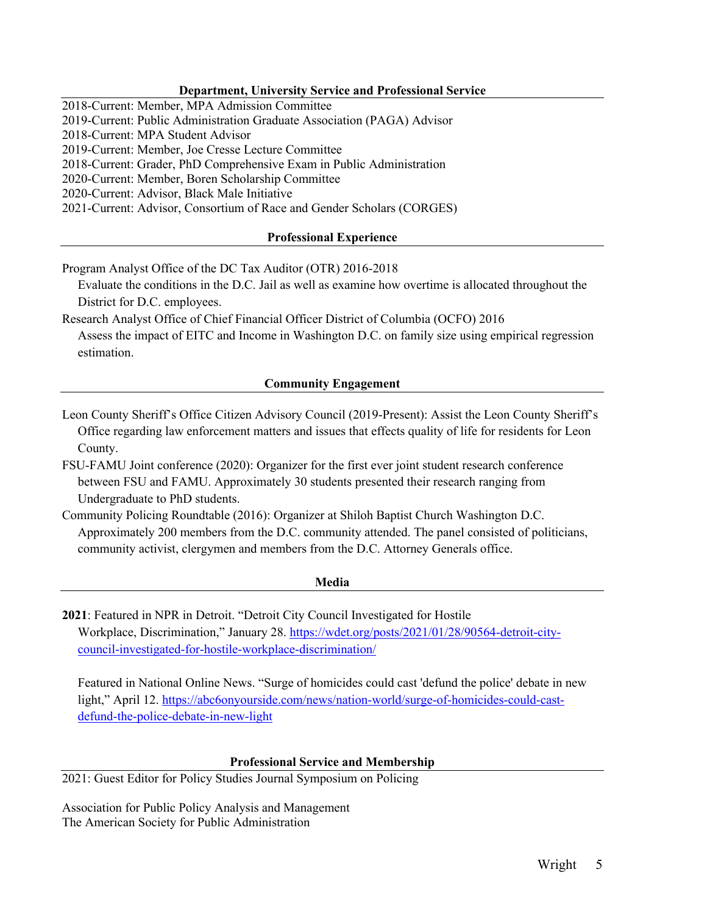# **Department, University Service and Professional Service**

2018-Current: Member, MPA Admission Committee

2019-Current: Public Administration Graduate Association (PAGA) Advisor

2018-Current: MPA Student Advisor

2019-Current: Member, Joe Cresse Lecture Committee

2018-Current: Grader, PhD Comprehensive Exam in Public Administration

2020-Current: Member, Boren Scholarship Committee

2020-Current: Advisor, Black Male Initiative

2021-Current: Advisor, Consortium of Race and Gender Scholars (CORGES)

# **Professional Experience**

Program Analyst Office of the DC Tax Auditor (OTR) 2016-2018

Evaluate the conditions in the D.C. Jail as well as examine how overtime is allocated throughout the District for D.C. employees.

Research Analyst Office of Chief Financial Officer District of Columbia (OCFO) 2016

Assess the impact of EITC and Income in Washington D.C. on family size using empirical regression estimation.

# **Community Engagement**

Leon County Sheriff's Office Citizen Advisory Council (2019-Present): Assist the Leon County Sheriff's Office regarding law enforcement matters and issues that effects quality of life for residents for Leon County.

FSU-FAMU Joint conference (2020): Organizer for the first ever joint student research conference between FSU and FAMU. Approximately 30 students presented their research ranging from Undergraduate to PhD students.

Community Policing Roundtable (2016): Organizer at Shiloh Baptist Church Washington D.C. Approximately 200 members from the D.C. community attended. The panel consisted of politicians, community activist, clergymen and members from the D.C. Attorney Generals office.

### **Media**

**2021**: Featured in NPR in Detroit. "Detroit City Council Investigated for Hostile Workplace, Discrimination," January 28. https://wdet.org/posts/2021/01/28/90564-detroit-citycouncil-investigated-for-hostile-workplace-discrimination/

Featured in National Online News. "Surge of homicides could cast 'defund the police' debate in new light," April 12. https://abc6onyourside.com/news/nation-world/surge-of-homicides-could-castdefund-the-police-debate-in-new-light

# **Professional Service and Membership**

2021: Guest Editor for Policy Studies Journal Symposium on Policing

Association for Public Policy Analysis and Management The American Society for Public Administration